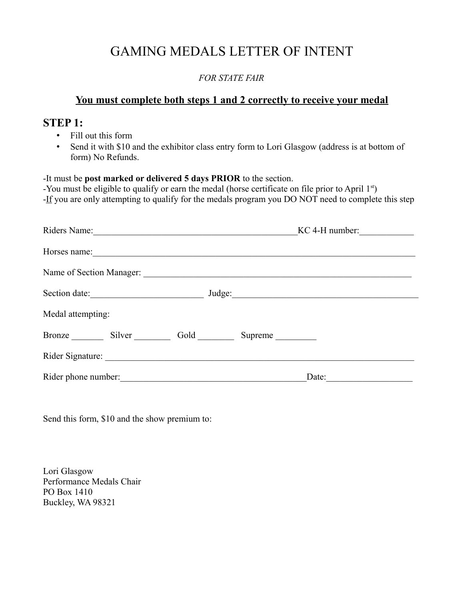# GAMING MEDALS LETTER OF INTENT

#### *FOR STATE FAIR*

#### **You must complete both steps 1 and 2 correctly to receive your medal**

### **STEP 1:**

- Fill out this form
- Send it with \$10 and the exhibitor class entry form to Lori Glasgow (address is at bottom of form) No Refunds.

-It must be **post marked or delivered 5 days PRIOR** to the section.

-You must be eligible to qualify or earn the medal (horse certificate on file prior to April 1<sup>st</sup>) -If you are only attempting to qualify for the medals program you DO NOT need to complete this step

| Riders Name:                                                                                                                          | $KC 4-H number:$ |
|---------------------------------------------------------------------------------------------------------------------------------------|------------------|
| Horses name:                                                                                                                          |                  |
| Name of Section Manager:                                                                                                              |                  |
| Section date:<br><u> 1980 - Jan Barbara Barbara, politik eta politik eta politik eta politik eta politik eta politik eta politik </u> | Judge:           |
| Medal attempting:                                                                                                                     |                  |
| Bronze Silver                                                                                                                         | Gold<br>Supreme  |
| Rider Signature:                                                                                                                      |                  |
| Rider phone number:                                                                                                                   | Date:            |

Send this form, \$10 and the show premium to:

Lori Glasgow Performance Medals Chair PO Box 1410 Buckley, WA 98321